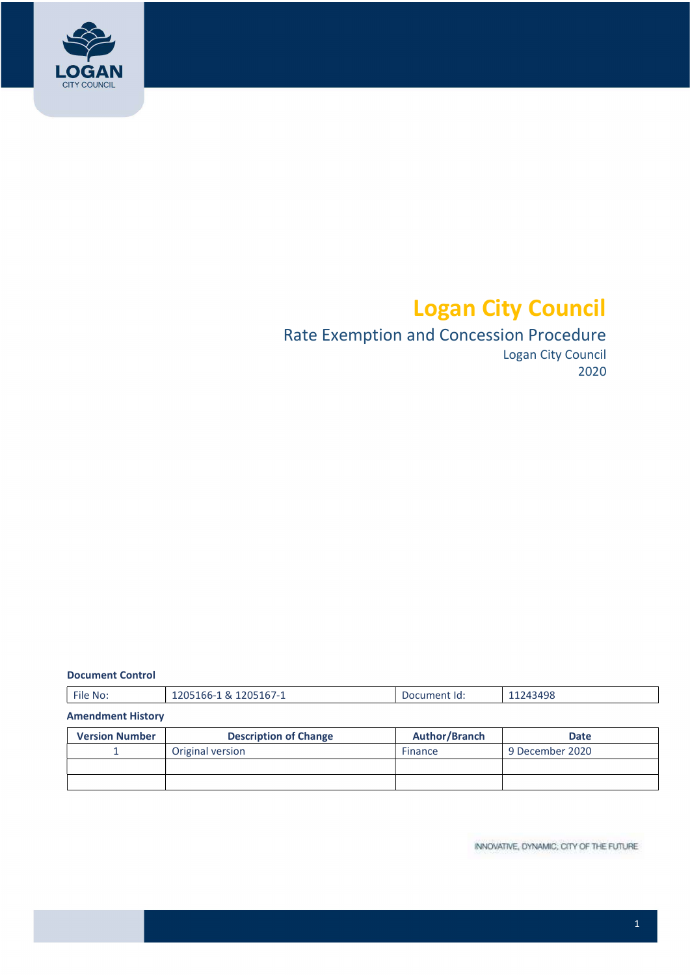

# Logan City Council

# Rate Exemption and Concession Procedure

Logan City Council 2020

#### Document Control

| $-1$<br>1205167-1<br>1243498<br>1205166-1<br>$\sim$<br>. ~<br>- File No.<br>Document Id:<br>---<br>_____<br>. |
|---------------------------------------------------------------------------------------------------------------|
|---------------------------------------------------------------------------------------------------------------|

## Amendment History

| <b>Version Number</b> | <b>Description of Change</b> | Author/Branch | <b>Date</b>     |
|-----------------------|------------------------------|---------------|-----------------|
|                       | Original version             | Finance       | 9 December 2020 |
|                       |                              |               |                 |
|                       |                              |               |                 |

INNOVATIVE, DYNAMIC, CITY OF THE FUTURE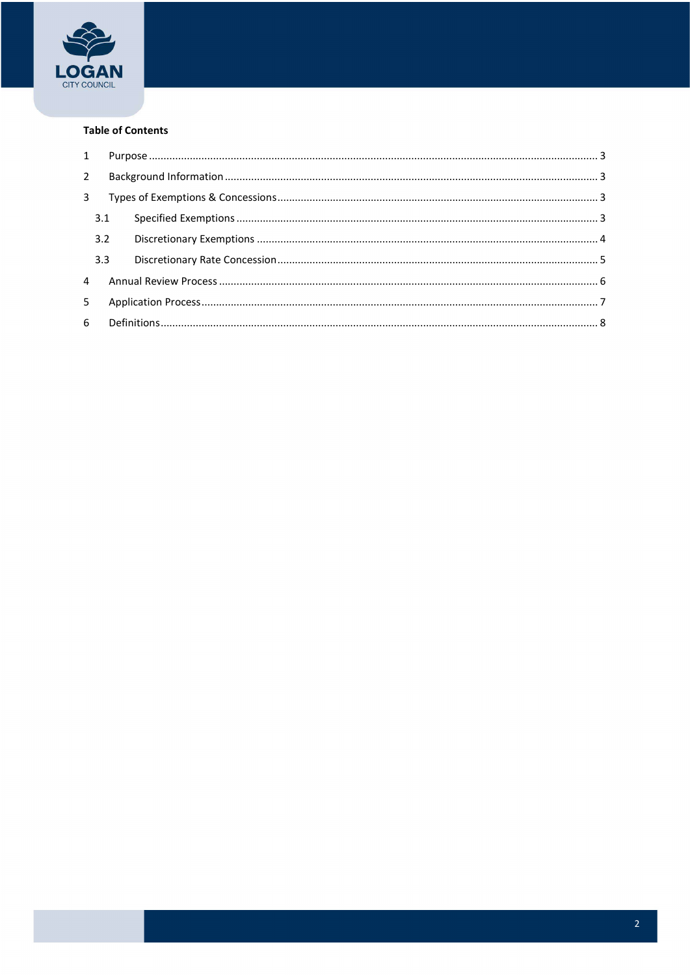

#### **Table of Contents**

| 1              |     |  |  |
|----------------|-----|--|--|
| $2^{\circ}$    |     |  |  |
| 3              |     |  |  |
|                | 3.1 |  |  |
|                | 3.2 |  |  |
|                | 3.3 |  |  |
| $\overline{4}$ |     |  |  |
| 5              |     |  |  |
|                |     |  |  |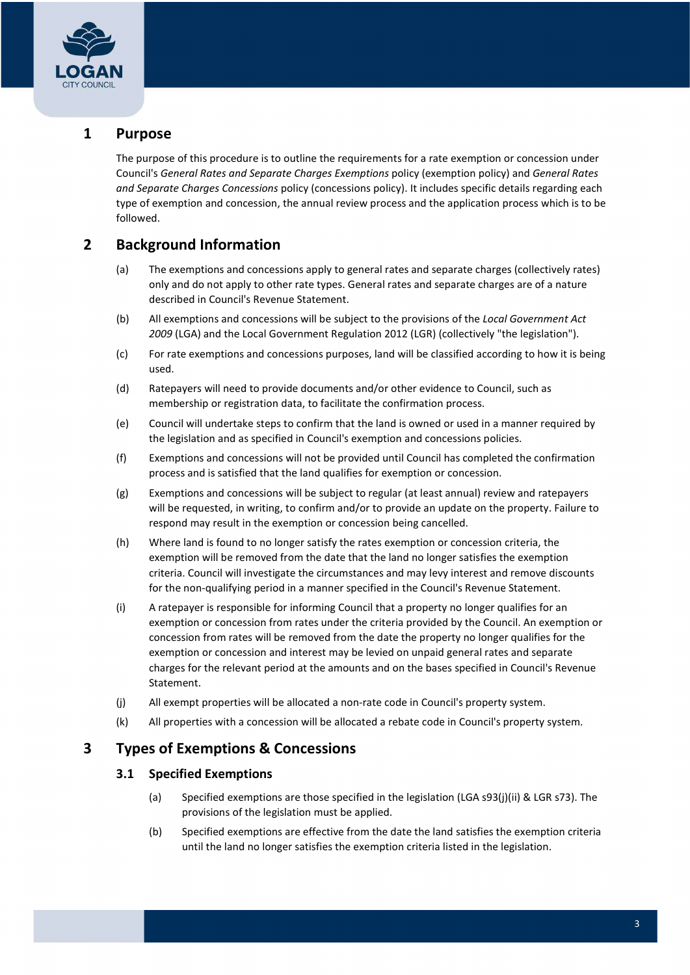

# 1 Purpose

 The purpose of this procedure is to outline the requirements for a rate exemption or concession under Council's General Rates and Separate Charges Exemptions policy (exemption policy) and General Rates and Separate Charges Concessions policy (concessions policy). It includes specific details regarding each type of exemption and concession, the annual review process and the application process which is to be followed.

# 2 Background Information

- (a) The exemptions and concessions apply to general rates and separate charges (collectively rates) only and do not apply to other rate types. General rates and separate charges are of a nature described in Council's Revenue Statement.
- (b) All exemptions and concessions will be subject to the provisions of the Local Government Act 2009 (LGA) and the Local Government Regulation 2012 (LGR) (collectively "the legislation").
- (c) For rate exemptions and concessions purposes, land will be classified according to how it is being used.
- (d) Ratepayers will need to provide documents and/or other evidence to Council, such as membership or registration data, to facilitate the confirmation process.
- (e) Council will undertake steps to confirm that the land is owned or used in a manner required by the legislation and as specified in Council's exemption and concessions policies.
- (f) Exemptions and concessions will not be provided until Council has completed the confirmation process and is satisfied that the land qualifies for exemption or concession.
- (g) Exemptions and concessions will be subject to regular (at least annual) review and ratepayers will be requested, in writing, to confirm and/or to provide an update on the property. Failure to respond may result in the exemption or concession being cancelled.
- (h) Where land is found to no longer satisfy the rates exemption or concession criteria, the exemption will be removed from the date that the land no longer satisfies the exemption criteria. Council will investigate the circumstances and may levy interest and remove discounts for the non-qualifying period in a manner specified in the Council's Revenue Statement.
- (i) A ratepayer is responsible for informing Council that a property no longer qualifies for an exemption or concession from rates under the criteria provided by the Council. An exemption or concession from rates will be removed from the date the property no longer qualifies for the exemption or concession and interest may be levied on unpaid general rates and separate charges for the relevant period at the amounts and on the bases specified in Council's Revenue Statement.
- (j) All exempt properties will be allocated a non-rate code in Council's property system.
- (k) All properties with a concession will be allocated a rebate code in Council's property system.

# 3 Types of Exemptions & Concessions

## 3.1 Specified Exemptions

- (a) Specified exemptions are those specified in the legislation (LGA s93(j)(ii) & LGR s73). The provisions of the legislation must be applied.
- (b) Specified exemptions are effective from the date the land satisfies the exemption criteria until the land no longer satisfies the exemption criteria listed in the legislation.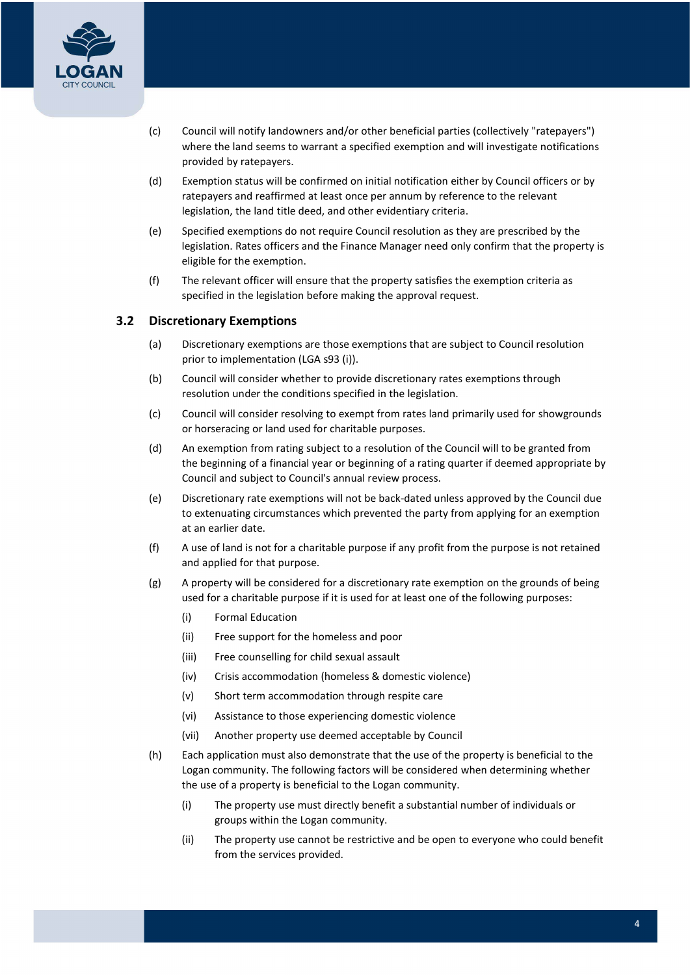

- (c) Council will notify landowners and/or other beneficial parties (collectively "ratepayers") where the land seems to warrant a specified exemption and will investigate notifications provided by ratepayers.
- (d) Exemption status will be confirmed on initial notification either by Council officers or by ratepayers and reaffirmed at least once per annum by reference to the relevant legislation, the land title deed, and other evidentiary criteria.
- (e) Specified exemptions do not require Council resolution as they are prescribed by the legislation. Rates officers and the Finance Manager need only confirm that the property is eligible for the exemption.
- (f) The relevant officer will ensure that the property satisfies the exemption criteria as specified in the legislation before making the approval request.

## 3.2 Discretionary Exemptions

- (a) Discretionary exemptions are those exemptions that are subject to Council resolution prior to implementation (LGA s93 (i)).
- (b) Council will consider whether to provide discretionary rates exemptions through resolution under the conditions specified in the legislation.
- (c) Council will consider resolving to exempt from rates land primarily used for showgrounds or horseracing or land used for charitable purposes.
- (d) An exemption from rating subject to a resolution of the Council will to be granted from the beginning of a financial year or beginning of a rating quarter if deemed appropriate by Council and subject to Council's annual review process.
- (e) Discretionary rate exemptions will not be back-dated unless approved by the Council due to extenuating circumstances which prevented the party from applying for an exemption at an earlier date.
- (f) A use of land is not for a charitable purpose if any profit from the purpose is not retained and applied for that purpose.
- (g) A property will be considered for a discretionary rate exemption on the grounds of being used for a charitable purpose if it is used for at least one of the following purposes:
	- (i) Formal Education
	- (ii) Free support for the homeless and poor
	- (iii) Free counselling for child sexual assault
	- (iv) Crisis accommodation (homeless & domestic violence)
	- (v) Short term accommodation through respite care
	- (vi) Assistance to those experiencing domestic violence
	- (vii) Another property use deemed acceptable by Council
- (h) Each application must also demonstrate that the use of the property is beneficial to the Logan community. The following factors will be considered when determining whether the use of a property is beneficial to the Logan community.
	- (i) The property use must directly benefit a substantial number of individuals or groups within the Logan community.
	- (ii) The property use cannot be restrictive and be open to everyone who could benefit from the services provided.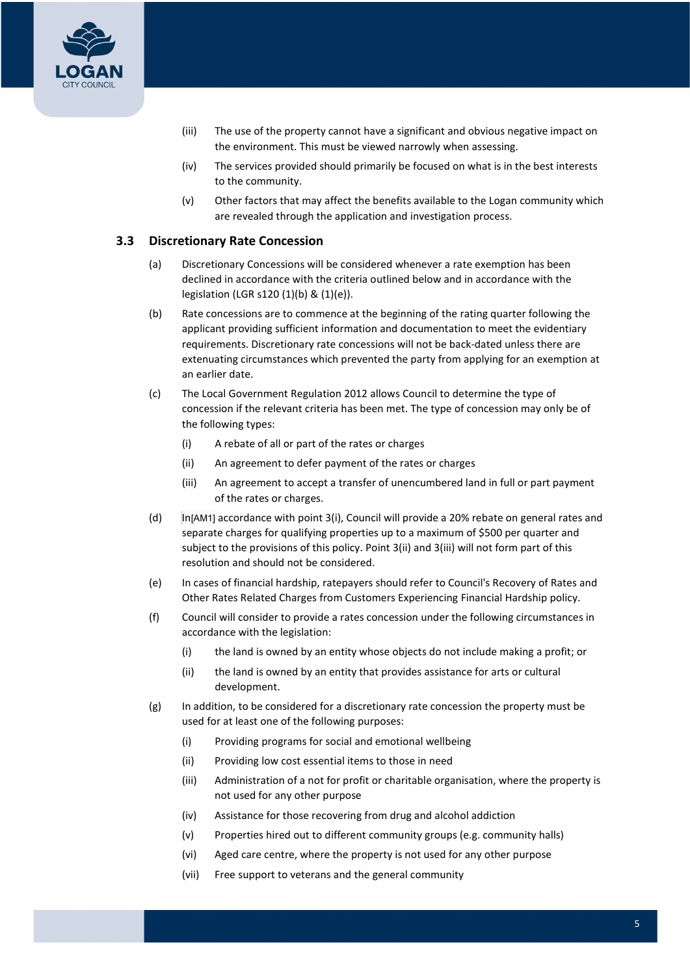

- (iii) The use of the property cannot have a significant and obvious negative impact on the environment. This must be viewed narrowly when assessing.
- to the community. (iv) The services provided should primarily be focused on what is in the best interests
- (v) Other factors that may affect the benefits available to the Logan community which are revealed through the application and investigation process.

### 3.3 Discretionary Rate Concession

- (a) Discretionary Concessions will be considered whenever a rate exemption has been declined in accordance with the criteria outlined below and in accordance with the legislation (LGR s120 (1)(b) & (1)(e)).
- (b) Rate concessions are to commence at the beginning of the rating quarter following the applicant providing sufficient information and documentation to meet the evidentiary requirements. Discretionary rate concessions will not be back-dated unless there are extenuating circumstances which prevented the party from applying for an exemption at an earlier date.
- (c) The Local Government Regulation 2012 allows Council to determine the type of concession if the relevant criteria has been met. The type of concession may only be of the following types:
	- (i) A rebate of all or part of the rates or charges
	- (ii) An agreement to defer payment of the rates or charges
	- (iii) An agreement to accept a transfer of unencumbered land in full or part payment of the rates or charges.
- (d) In[AM1] accordance with point 3(i), Council will provide a 20% rebate on general rates and separate charges for qualifying properties up to a maximum of \$500 per quarter and subject to the provisions of this policy. Point 3(ii) and 3(iii) will not form part of this resolution and should not be considered.
- (e) In cases of financial hardship, ratepayers should refer to Council's Recovery of Rates and Other Rates Related Charges from Customers Experiencing Financial Hardship policy.
- (f) Council will consider to provide a rates concession under the following circumstances in accordance with the legislation:
	- (i) the land is owned by an entity whose objects do not include making a profit; or
	- (ii) the land is owned by an entity that provides assistance for arts or cultural development.
- (g) In addition, to be considered for a discretionary rate concession the property must be used for at least one of the following purposes:
	- (i) Providing programs for social and emotional wellbeing
	- (ii) Providing low cost essential items to those in need
	- (iii) Administration of a not for profit or charitable organisation, where the property is not used for any other purpose
	- (iv) Assistance for those recovering from drug and alcohol addiction
	- (v) Properties hired out to different community groups (e.g. community halls)
	- (vi) Aged care centre, where the property is not used for any other purpose
	- (vii) Free support to veterans and the general community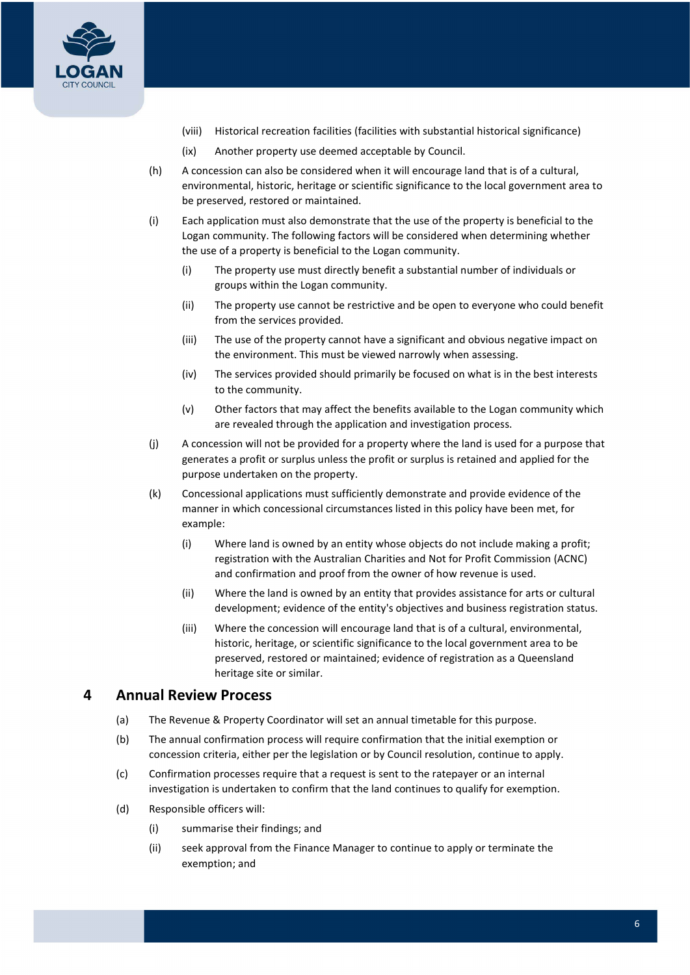

- (viii) Historical recreation facilities (facilities with substantial historical significance)
- (ix) Another property use deemed acceptable by Council.
- (h) A concession can also be considered when it will encourage land that is of a cultural, environmental, historic, heritage or scientific significance to the local government area to be preserved, restored or maintained.
- (i) Each application must also demonstrate that the use of the property is beneficial to the Logan community. The following factors will be considered when determining whether the use of a property is beneficial to the Logan community.
	- (i) The property use must directly benefit a substantial number of individuals or groups within the Logan community.
	- (ii) The property use cannot be restrictive and be open to everyone who could benefit from the services provided.
	- the environment. This must be viewed narrowly when assessing. (iii) The use of the property cannot have a significant and obvious negative impact on
	- (iv) The services provided should primarily be focused on what is in the best interests to the community.
	- (v) Other factors that may affect the benefits available to the Logan community which are revealed through the application and investigation process.
- (j) A concession will not be provided for a property where the land is used for a purpose that generates a profit or surplus unless the profit or surplus is retained and applied for the purpose undertaken on the property.
- (k) Concessional applications must sufficiently demonstrate and provide evidence of the manner in which concessional circumstances listed in this policy have been met, for example:
	- (i) Where land is owned by an entity whose objects do not include making a profit; registration with the Australian Charities and Not for Profit Commission (ACNC) and confirmation and proof from the owner of how revenue is used.
	- (ii) Where the land is owned by an entity that provides assistance for arts or cultural development; evidence of the entity's objectives and business registration status.
	- (iii) Where the concession will encourage land that is of a cultural, environmental, historic, heritage, or scientific significance to the local government area to be preserved, restored or maintained; evidence of registration as a Queensland heritage site or similar.

#### Annual Review Process 4

- (a) The Revenue & Property Coordinator will set an annual timetable for this purpose.
- (b) The annual confirmation process will require confirmation that the initial exemption or concession criteria, either per the legislation or by Council resolution, continue to apply.
- (c) Confirmation processes require that a request is sent to the ratepayer or an internal investigation is undertaken to confirm that the land continues to qualify for exemption.
- (d) Responsible officers will:
	- (i) summarise their findings; and
	- (ii) seek approval from the Finance Manager to continue to apply or terminate the exemption; and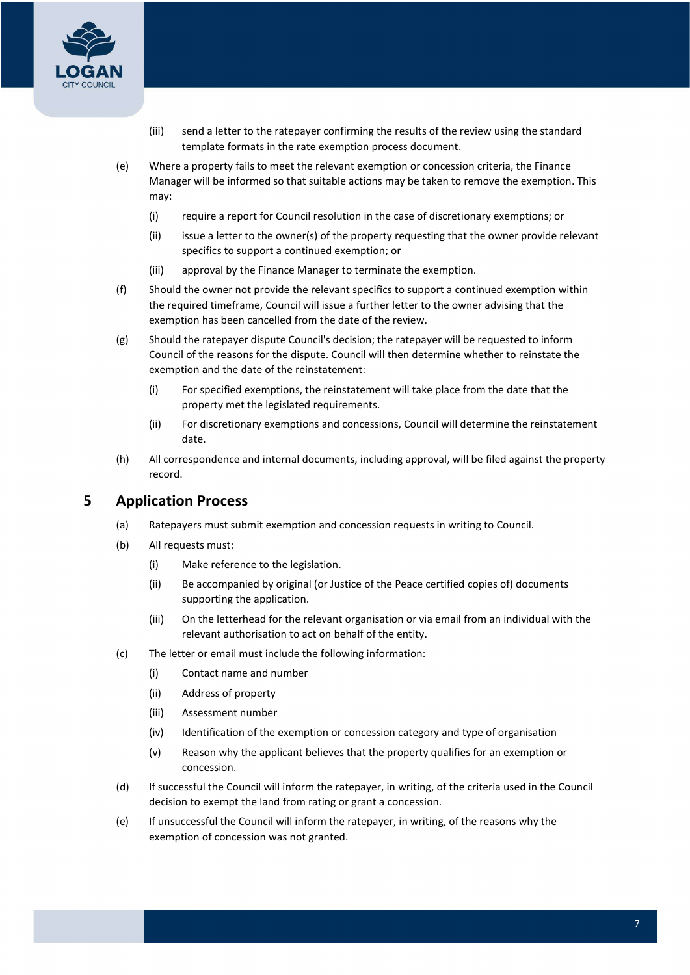

- (iii) send a letter to the ratepayer confirming the results of the review using the standard template formats in the rate exemption process document.
- (e) Where a property fails to meet the relevant exemption or concession criteria, the Finance Manager will be informed so that suitable actions may be taken to remove the exemption. This may:
	- (i) require a report for Council resolution in the case of discretionary exemptions; or
	- (ii) issue a letter to the owner(s) of the property requesting that the owner provide relevant specifics to support a continued exemption; or
	- (iii) approval by the Finance Manager to terminate the exemption.
- (f) Should the owner not provide the relevant specifics to support a continued exemption within the required timeframe, Council will issue a further letter to the owner advising that the exemption has been cancelled from the date of the review.
- (g) Should the ratepayer dispute Council's decision; the ratepayer will be requested to inform Council of the reasons for the dispute. Council will then determine whether to reinstate the exemption and the date of the reinstatement:
	- (i) For specified exemptions, the reinstatement will take place from the date that the property met the legislated requirements.
	- (ii) For discretionary exemptions and concessions, Council will determine the reinstatement date.
- (h) All correspondence and internal documents, including approval, will be filed against the property record.

#### Application Process 5

- (a) Ratepayers must submit exemption and concession requests in writing to Council.
- (b) All requests must:
	- (i) Make reference to the legislation.
	- (ii) Be accompanied by original (or Justice of the Peace certified copies of) documents supporting the application.
	- (iii) On the letterhead for the relevant organisation or via email from an individual with the relevant authorisation to act on behalf of the entity.
- (c) The letter or email must include the following information:
	- (i) Contact name and number
	- (ii) Address of property
	- (iii) Assessment number
	- (iv) Identification of the exemption or concession category and type of organisation
	- (v) Reason why the applicant believes that the property qualifies for an exemption or concession.
- (d) If successful the Council will inform the ratepayer, in writing, of the criteria used in the Council decision to exempt the land from rating or grant a concession.
- (e) If unsuccessful the Council will inform the ratepayer, in writing, of the reasons why the exemption of concession was not granted.